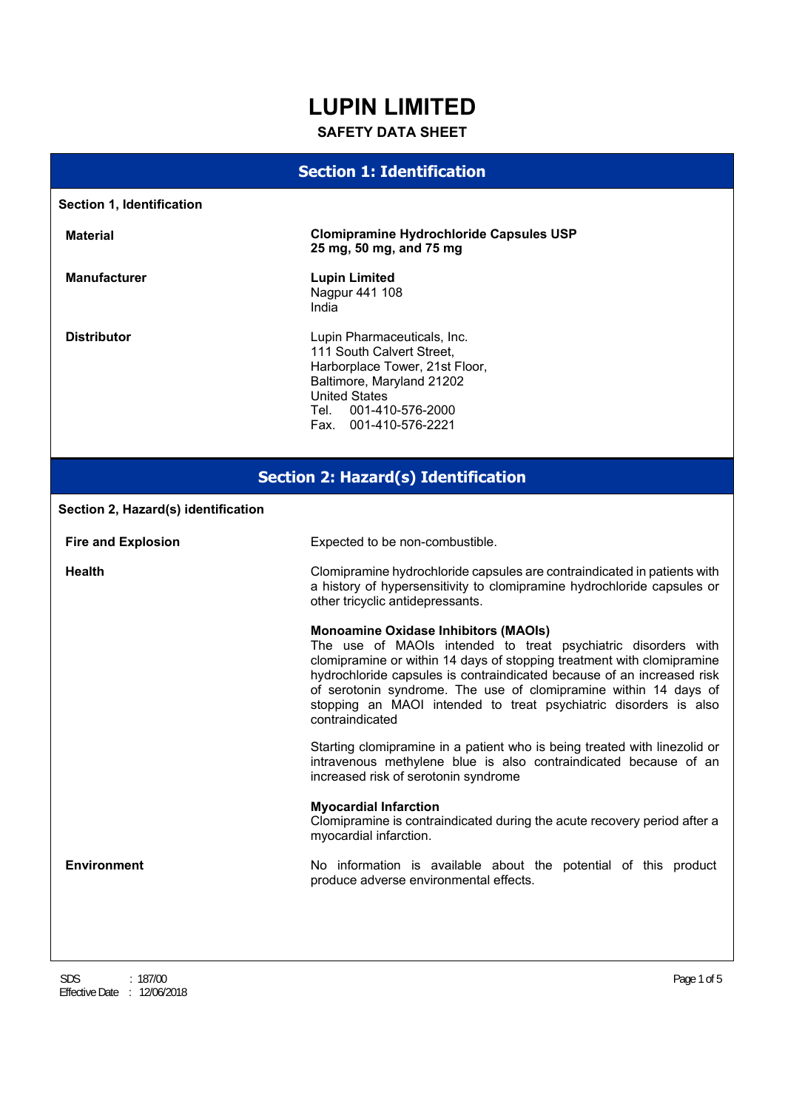# **LUPIN LIMITED**

# **SAFETY DATA SHEET**

# **Section 1: Identification**

| Section 1, Identification                  |                                                                                                                                                                                                                                                                                                                                                                                                                             |  |  |
|--------------------------------------------|-----------------------------------------------------------------------------------------------------------------------------------------------------------------------------------------------------------------------------------------------------------------------------------------------------------------------------------------------------------------------------------------------------------------------------|--|--|
| <b>Material</b>                            | <b>Clomipramine Hydrochloride Capsules USP</b><br>25 mg, 50 mg, and 75 mg                                                                                                                                                                                                                                                                                                                                                   |  |  |
| <b>Manufacturer</b>                        | <b>Lupin Limited</b><br>Nagpur 441 108<br>India                                                                                                                                                                                                                                                                                                                                                                             |  |  |
| <b>Distributor</b>                         | Lupin Pharmaceuticals, Inc.<br>111 South Calvert Street,<br>Harborplace Tower, 21st Floor,<br>Baltimore, Maryland 21202<br><b>United States</b><br>Tel.<br>001-410-576-2000<br>Fax. 001-410-576-2221                                                                                                                                                                                                                        |  |  |
| <b>Section 2: Hazard(s) Identification</b> |                                                                                                                                                                                                                                                                                                                                                                                                                             |  |  |
| Section 2, Hazard(s) identification        |                                                                                                                                                                                                                                                                                                                                                                                                                             |  |  |
| <b>Fire and Explosion</b>                  | Expected to be non-combustible.                                                                                                                                                                                                                                                                                                                                                                                             |  |  |
| <b>Health</b>                              | Clomipramine hydrochloride capsules are contraindicated in patients with<br>a history of hypersensitivity to clomipramine hydrochloride capsules or<br>other tricyclic antidepressants.                                                                                                                                                                                                                                     |  |  |
|                                            | <b>Monoamine Oxidase Inhibitors (MAOIs)</b><br>The use of MAOIs intended to treat psychiatric disorders with<br>clomipramine or within 14 days of stopping treatment with clomipramine<br>hydrochloride capsules is contraindicated because of an increased risk<br>of serotonin syndrome. The use of clomipramine within 14 days of<br>stopping an MAOI intended to treat psychiatric disorders is also<br>contraindicated |  |  |
|                                            | Starting clomipramine in a patient who is being treated with linezolid or<br>intravenous methylene blue is also contraindicated because of an<br>increased risk of serotonin syndrome                                                                                                                                                                                                                                       |  |  |
|                                            | <b>Myocardial Infarction</b><br>Clomipramine is contraindicated during the acute recovery period after a<br>myocardial infarction.                                                                                                                                                                                                                                                                                          |  |  |
| <b>Environment</b>                         | No information is available about the potential of this product<br>produce adverse environmental effects.                                                                                                                                                                                                                                                                                                                   |  |  |
|                                            |                                                                                                                                                                                                                                                                                                                                                                                                                             |  |  |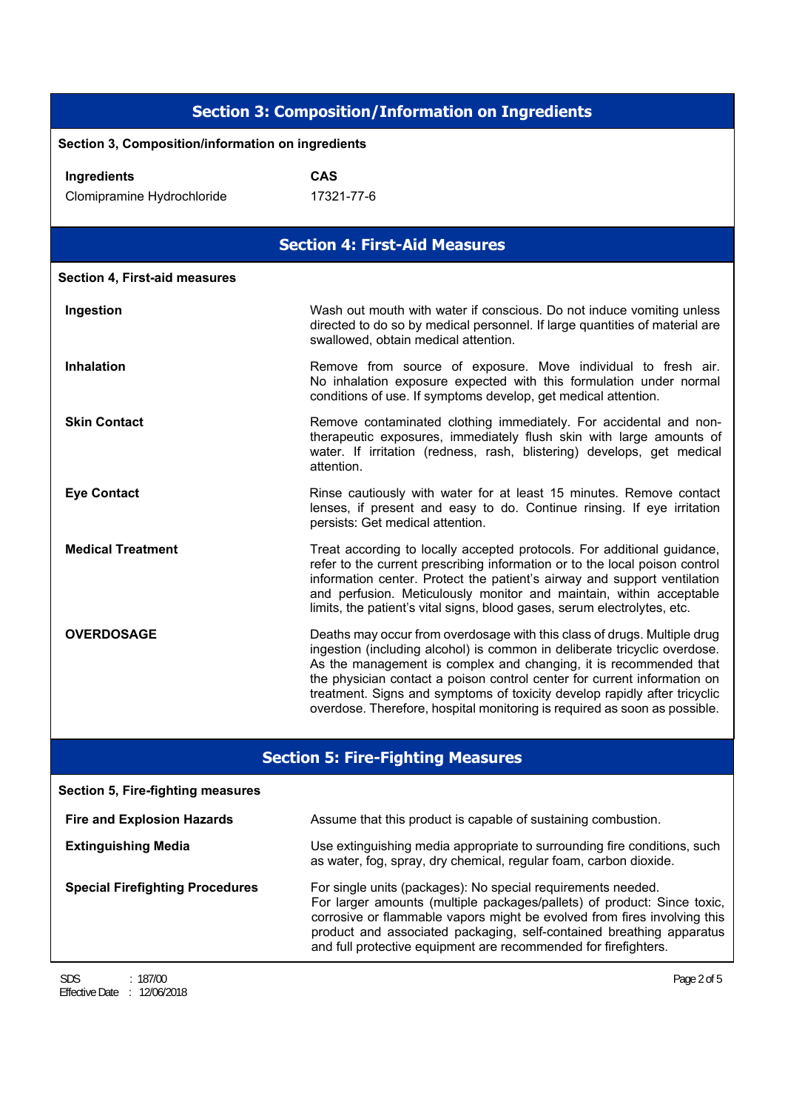|                                                       | <b>Section 3: Composition/Information on Ingredients</b>                                                                                                                                                                                                                                                                                                                                                                                                         |  |
|-------------------------------------------------------|------------------------------------------------------------------------------------------------------------------------------------------------------------------------------------------------------------------------------------------------------------------------------------------------------------------------------------------------------------------------------------------------------------------------------------------------------------------|--|
| Section 3, Composition/information on ingredients     |                                                                                                                                                                                                                                                                                                                                                                                                                                                                  |  |
| Ingredients<br>Clomipramine Hydrochloride             | <b>CAS</b><br>17321-77-6                                                                                                                                                                                                                                                                                                                                                                                                                                         |  |
|                                                       | <b>Section 4: First-Aid Measures</b>                                                                                                                                                                                                                                                                                                                                                                                                                             |  |
| Section 4, First-aid measures                         |                                                                                                                                                                                                                                                                                                                                                                                                                                                                  |  |
| Ingestion                                             | Wash out mouth with water if conscious. Do not induce vomiting unless<br>directed to do so by medical personnel. If large quantities of material are<br>swallowed, obtain medical attention.                                                                                                                                                                                                                                                                     |  |
| <b>Inhalation</b>                                     | Remove from source of exposure. Move individual to fresh air.<br>No inhalation exposure expected with this formulation under normal<br>conditions of use. If symptoms develop, get medical attention.                                                                                                                                                                                                                                                            |  |
| <b>Skin Contact</b>                                   | Remove contaminated clothing immediately. For accidental and non-<br>therapeutic exposures, immediately flush skin with large amounts of<br>water. If irritation (redness, rash, blistering) develops, get medical<br>attention.                                                                                                                                                                                                                                 |  |
| <b>Eye Contact</b>                                    | Rinse cautiously with water for at least 15 minutes. Remove contact<br>lenses, if present and easy to do. Continue rinsing. If eye irritation<br>persists: Get medical attention.                                                                                                                                                                                                                                                                                |  |
| <b>Medical Treatment</b>                              | Treat according to locally accepted protocols. For additional guidance,<br>refer to the current prescribing information or to the local poison control<br>information center. Protect the patient's airway and support ventilation<br>and perfusion. Meticulously monitor and maintain, within acceptable<br>limits, the patient's vital signs, blood gases, serum electrolytes, etc.                                                                            |  |
| <b>OVERDOSAGE</b>                                     | Deaths may occur from overdosage with this class of drugs. Multiple drug<br>ingestion (including alcohol) is common in deliberate tricyclic overdose.<br>As the management is complex and changing, it is recommended that<br>the physician contact a poison control center for current information on<br>treatment. Signs and symptoms of toxicity develop rapidly after tricyclic<br>overdose. Therefore, hospital monitoring is required as soon as possible. |  |
|                                                       | <b>Section 5: Fire-Fighting Measures</b>                                                                                                                                                                                                                                                                                                                                                                                                                         |  |
| <b>Section 5, Fire-fighting measures</b>              |                                                                                                                                                                                                                                                                                                                                                                                                                                                                  |  |
| <b>Fire and Explosion Hazards</b>                     | Assume that this product is capable of sustaining combustion.                                                                                                                                                                                                                                                                                                                                                                                                    |  |
| <b>Extinguishing Media</b>                            | Use extinguishing media appropriate to surrounding fire conditions, such<br>as water, fog, spray, dry chemical, regular foam, carbon dioxide.                                                                                                                                                                                                                                                                                                                    |  |
| <b>Special Firefighting Procedures</b>                | For single units (packages): No special requirements needed.<br>For larger amounts (multiple packages/pallets) of product: Since toxic,<br>corrosive or flammable vapors might be evolved from fires involving this<br>product and associated packaging, self-contained breathing apparatus<br>and full protective equipment are recommended for firefighters.                                                                                                   |  |
| <b>SDS</b><br>: 187/00<br>Effective Date : 12/06/2018 | Page 2 of 5                                                                                                                                                                                                                                                                                                                                                                                                                                                      |  |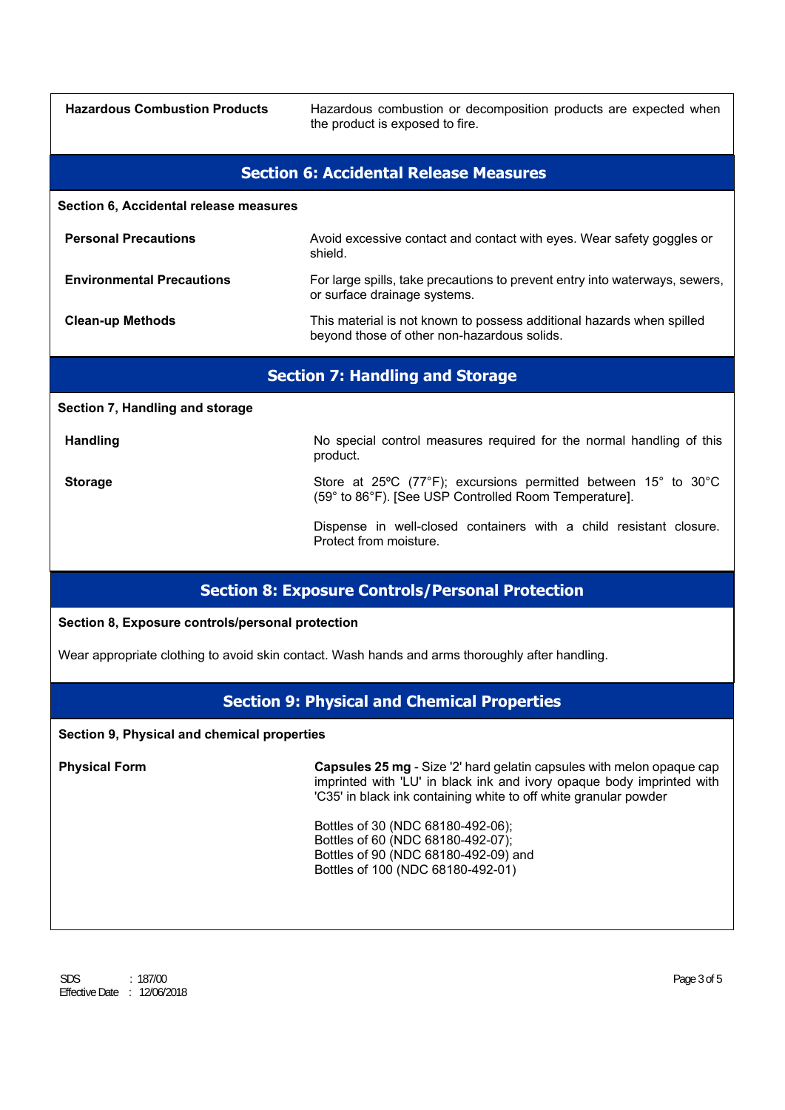**Hazardous Combustion Products** Hazardous combustion or decomposition products are expected when the product is exposed to fire.

### **Section 6: Accidental Release Measures**

**Section 6, Accidental release measures**

| <b>Personal Precautions</b>      | Avoid excessive contact and contact with eyes. Wear safety goggles or<br>shield.                                     |
|----------------------------------|----------------------------------------------------------------------------------------------------------------------|
| <b>Environmental Precautions</b> | For large spills, take precautions to prevent entry into waterways, sewers,<br>or surface drainage systems.          |
| <b>Clean-up Methods</b>          | This material is not known to possess additional hazards when spilled<br>beyond those of other non-hazardous solids. |

### **Section 7: Handling and Storage**

**Section 7, Handling and storage**

**Handling Handling** No special control measures required for the normal handling of this product. Storage **Storage** Store at 25°C (77°F); excursions permitted between 15° to 30°C (59° to 86°F). [See USP Controlled Room Temperature]. Dispense in well-closed containers with a child resistant closure.

# **Section 8: Exposure Controls/Personal Protection**

Protect from moisture.

### **Section 8, Exposure controls/personal protection**

Wear appropriate clothing to avoid skin contact. Wash hands and arms thoroughly after handling.

### **Section 9: Physical and Chemical Properties**

### **Section 9, Physical and chemical properties**

**Physical Form Capsules 25 mg** - Size '2' hard gelatin capsules with melon opaque cap imprinted with 'LU' in black ink and ivory opaque body imprinted with 'C35' in black ink containing white to off white granular powder

> Bottles of 30 (NDC 68180-492-06); Bottles of 60 (NDC 68180-492-07); Bottles of 90 (NDC 68180-492-09) and Bottles of 100 (NDC 68180-492-01)

SDS : 187/00 Page 3 of 5 Effective Date : 12/06/2018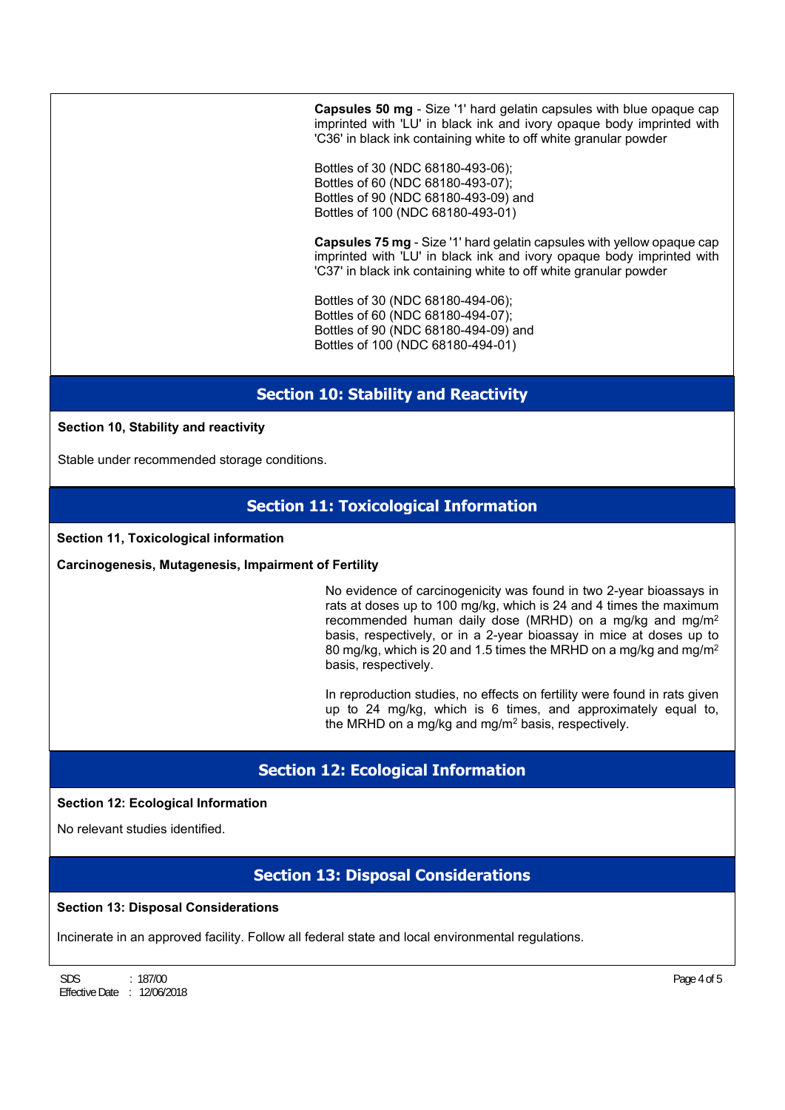**Capsules 50 mg** - Size '1' hard gelatin capsules with blue opaque cap imprinted with 'LU' in black ink and ivory opaque body imprinted with 'C36' in black ink containing white to off white granular powder

Bottles of 30 (NDC 68180-493-06); Bottles of 60 (NDC 68180-493-07); Bottles of 90 (NDC 68180-493-09) and Bottles of 100 (NDC 68180-493-01)

**Capsules 75 mg** - Size '1' hard gelatin capsules with yellow opaque cap imprinted with 'LU' in black ink and ivory opaque body imprinted with 'C37' in black ink containing white to off white granular powder

Bottles of 30 (NDC 68180-494-06); Bottles of 60 (NDC 68180-494-07); Bottles of 90 (NDC 68180-494-09) and Bottles of 100 (NDC 68180-494-01)

# **Section 10: Stability and Reactivity**

### **Section 10, Stability and reactivity**

Stable under recommended storage conditions.

# **Section 11: Toxicological Information**

### **Section 11, Toxicological information**

### **Carcinogenesis, Mutagenesis, Impairment of Fertility**

No evidence of carcinogenicity was found in two 2-year bioassays in rats at doses up to 100 mg/kg, which is 24 and 4 times the maximum recommended human daily dose (MRHD) on a mg/kg and mg/m2 basis, respectively, or in a 2-year bioassay in mice at doses up to 80 mg/kg, which is 20 and 1.5 times the MRHD on a mg/kg and mg/m2 basis, respectively.

In reproduction studies, no effects on fertility were found in rats given up to 24 mg/kg, which is 6 times, and approximately equal to, the MRHD on a mg/kg and mg/m2 basis, respectively.

# **Section 12: Ecological Information**

### **Section 12: Ecological Information**

No relevant studies identified.

### **Section 13: Disposal Considerations**

### **Section 13: Disposal Considerations**

Incinerate in an approved facility. Follow all federal state and local environmental regulations.